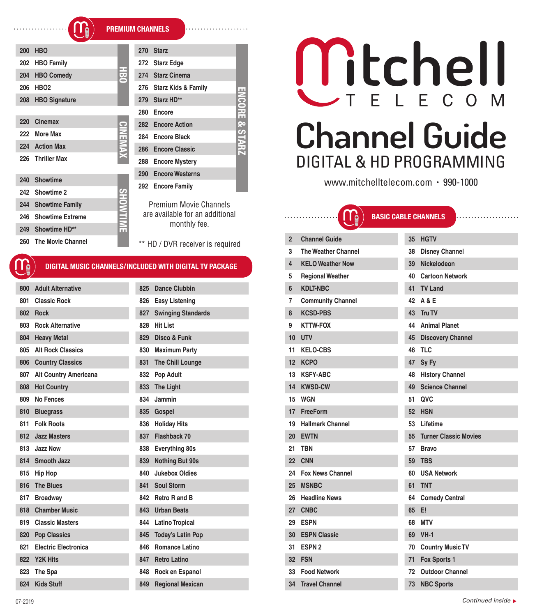| <b>13 NDC Sports</b> |  |
|----------------------|--|
|                      |  |

*Continued inside*

# \*\* HD / DVR receiver is required **2 Channel Guide**<br>3 The Weather Channel Guide **The Weather Chan 4 KELO** Weather No **5** Regional Weather **6 KDLT-NBC 7** Community Chann **8 KCSD-PBS 9 KTTW-FOX 11 KELO-CBS 12 KCPO 47 Sy Fy 13 KSFY-ABC 14 KWSD-CW 49 Science Channel 15 WGN 17 FreeForm 19 Hallmark Channel**

**20 EWTN 55 Turner Classic Movies 21 TBN 57 Bravo 22 CNN** 

**ENCORE & STARZ** Channels **n** additional

ш

Ξ

| 800 | <b>Adult Alternative</b>     | 825 | <b>Dance Clubbin</b>      |
|-----|------------------------------|-----|---------------------------|
| 801 | <b>Classic Rock</b>          | 826 | <b>Easy Listening</b>     |
| 802 | <b>Rock</b>                  | 827 | <b>Swinging Standards</b> |
| 803 | <b>Rock Alternative</b>      | 828 | <b>Hit List</b>           |
| 804 | <b>Heavy Metal</b>           | 829 | Disco & Funk              |
| 805 | <b>Alt Rock Classics</b>     | 830 | <b>Maximum Party</b>      |
| 806 | <b>Country Classics</b>      | 831 | <b>The Chill Lounge</b>   |
| 807 | <b>Alt Country Americana</b> | 832 | <b>Pop Adult</b>          |
| 808 | <b>Hot Country</b>           | 833 | <b>The Light</b>          |
| 809 | No Fences                    | 834 | Jammin                    |
| 810 | <b>Bluegrass</b>             | 835 | Gospel                    |
| 811 | <b>Folk Roots</b>            | 836 | <b>Holiday Hits</b>       |
| 812 | <b>Jazz Masters</b>          | 837 | Flashback 70              |
| 813 | Jazz Now                     | 838 | Everything 80s            |
|     | 814 Smooth Jazz              | 839 | <b>Nothing But 90s</b>    |
| 815 | Hip Hop                      | 840 | <b>Jukebox Oldies</b>     |
| 816 | <b>The Blues</b>             | 841 | Soul Storm                |
| 817 | <b>Broadway</b>              | 842 | Retro R and B             |
| 818 | <b>Chamber Music</b>         | 843 | <b>Urban Beats</b>        |
| 819 | <b>Classic Masters</b>       | 844 | <b>Latino Tropical</b>    |
| 820 | <b>Pop Classics</b>          | 845 | <b>Today's Latin Pop</b>  |
| 821 | <b>Electric Electronica</b>  | 846 | Romance Latino            |
| 822 | Y <sub>2</sub> K Hits        | 847 | <b>Retro Latino</b>       |
| 823 | The Spa                      | 848 | Rock en Espanol           |
| 824 | <b>Kids Stuff</b>            | 849 | <b>Regional Mexican</b>   |
|     |                              |     |                           |

# Mtchell F. F C O M **Channel Guide** DIGITAL & HD PROGRAMMING

www.mitchelltelecom.com • 990-1000

|    | <b>BASIC CABLE CHANNELS</b><br>.<br>U₿ |    |                              |
|----|----------------------------------------|----|------------------------------|
| 2  | <b>Channel Guide</b>                   | 35 | <b>HGTV</b>                  |
| 3  | <b>The Weather Channel</b>             | 38 | <b>Disney Channel</b>        |
| 4  | <b>KELO Weather Now</b>                | 39 | Nickelodeon                  |
| 5  | <b>Regional Weather</b>                | 40 | <b>Cartoon Network</b>       |
| 6  | <b>KDLT-NBC</b>                        |    | 41 TV Land                   |
| 7  | <b>Community Channel</b>               | 42 | <b>A &amp; E</b>             |
| 8  | <b>KCSD-PBS</b>                        | 43 | Tru TV                       |
| 9  | <b>KTTW-FOX</b>                        | 44 | <b>Animal Planet</b>         |
| 10 | <b>UTV</b>                             | 45 | <b>Discovery Channel</b>     |
| 11 | <b>KELO-CBS</b>                        | 46 | <b>TLC</b>                   |
| 12 | <b>KCPO</b>                            | 47 | Sy Fy                        |
| 13 | <b>KSFY-ABC</b>                        | 48 | <b>History Channel</b>       |
| 14 | <b>KWSD-CW</b>                         | 49 | <b>Science Channel</b>       |
| 15 | <b>WGN</b>                             | 51 | QVC                          |
| 17 | <b>FreeForm</b>                        | 52 | <b>HSN</b>                   |
| 19 | <b>Hallmark Channel</b>                | 53 | Lifetime                     |
| 20 | <b>EWTN</b>                            | 55 | <b>Turner Classic Movies</b> |
| 21 | <b>TBN</b>                             | 57 | <b>Bravo</b>                 |
| 22 | <b>CNN</b>                             | 59 | <b>TBS</b>                   |
| 24 | <b>Fox News Channel</b>                | 60 | <b>USA Network</b>           |
| 25 | <b>MSNBC</b>                           | 61 | <b>TNT</b>                   |
| 26 | <b>Headline News</b>                   | 64 | <b>Comedy Central</b>        |
| 27 | <b>CNBC</b>                            | 65 | E!                           |
| 29 | <b>ESPN</b>                            | 68 | <b>MTV</b>                   |
| 30 | <b>ESPN Classic</b>                    | 69 | $VH-1$                       |
| 31 | <b>ESPN2</b>                           | 70 | <b>Country Music TV</b>      |
| 32 | <b>FSN</b>                             | 71 | Fox Sports 1                 |
| 33 | <b>Food Network</b>                    | 72 | <b>Outdoor Channel</b>       |
| 34 | <b>Travel Channel</b>                  | 73 | <b>NBC Sports</b>            |

**270 Starz** 

| zuu                                                            | ndu                      |                 | 27 U | <b>Slarz</b>                    |
|----------------------------------------------------------------|--------------------------|-----------------|------|---------------------------------|
| 202                                                            | <b>HBO Family</b>        |                 | 272  | <b>Starz Edge</b>               |
| 204                                                            | <b>HBO Comedy</b>        | 舌口              |      | 274 Starz Cinema                |
| 206                                                            | <b>HBO2</b>              |                 | 276  | <b>Starz Kids &amp; Family</b>  |
| 208                                                            | <b>HBO Signature</b>     |                 | 279  | Starz HD**                      |
|                                                                |                          |                 | 280  | Encore                          |
| 220                                                            | Cinemax                  |                 | 282  | <b>Encore Action</b>            |
| 222                                                            | <b>More Max</b>          | <b>CINEMAX</b>  | 284  | <b>Encore Black</b>             |
| 224                                                            | <b>Action Max</b>        |                 | 286  | <b>Encore Classic</b>           |
| 226                                                            | <b>Thriller Max</b>      |                 | 288  | <b>Encore Mystery</b>           |
|                                                                |                          |                 | 290  | <b>Encore Westerns</b>          |
| 240                                                            | <b>Showtime</b>          |                 | 292  | <b>Encore Family</b>            |
| 242                                                            | Showtime 2               |                 |      |                                 |
| 244                                                            | <b>Showtime Family</b>   |                 |      | Premium Movie Channels          |
| 246                                                            | <b>Showtime Extreme</b>  | <b>SHOWTIME</b> |      | are available for an additional |
|                                                                | 249 Showtime HD**        |                 |      | monthly fee.                    |
| 260                                                            | <b>The Movie Channel</b> |                 |      | ** HD / DVR receiver is require |
|                                                                |                          |                 |      |                                 |
| <u>DIGITAL MUSIC CHANNELS/INCLUDED WITH DIGITAL TV PACKAGE</u> |                          |                 |      |                                 |



**200 HBO**